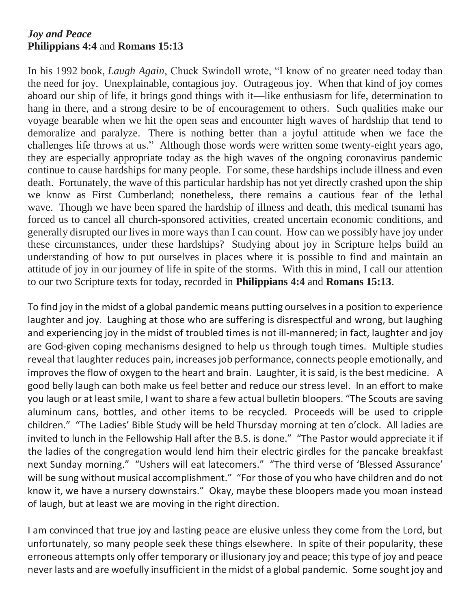## *Joy and Peace* **Philippians 4:4** and **Romans 15:13**

In his 1992 book, *Laugh Again*, Chuck Swindoll wrote, "I know of no greater need today than the need for joy. Unexplainable, contagious joy. Outrageous joy. When that kind of joy comes aboard our ship of life, it brings good things with it—like enthusiasm for life, determination to hang in there, and a strong desire to be of encouragement to others. Such qualities make our voyage bearable when we hit the open seas and encounter high waves of hardship that tend to demoralize and paralyze. There is nothing better than a joyful attitude when we face the challenges life throws at us." Although those words were written some twenty-eight years ago, they are especially appropriate today as the high waves of the ongoing coronavirus pandemic continue to cause hardships for many people. For some, these hardships include illness and even death. Fortunately, the wave of this particular hardship has not yet directly crashed upon the ship we know as First Cumberland; nonetheless, there remains a cautious fear of the lethal wave. Though we have been spared the hardship of illness and death, this medical tsunami has forced us to cancel all church-sponsored activities, created uncertain economic conditions, and generally disrupted our lives in more ways than I can count. How can we possibly have joy under these circumstances, under these hardships? Studying about joy in Scripture helps build an understanding of how to put ourselves in places where it is possible to find and maintain an attitude of joy in our journey of life in spite of the storms. With this in mind, I call our attention to our two Scripture texts for today, recorded in **Philippians 4:4** and **Romans 15:13**.

To find joy in the midst of a global pandemic means putting ourselves in a position to experience laughter and joy. Laughing at those who are suffering is disrespectful and wrong, but laughing and experiencing joy in the midst of troubled times is not ill-mannered; in fact, laughter and joy are God-given coping mechanisms designed to help us through tough times. Multiple studies reveal that laughter reduces pain, increases job performance, connects people emotionally, and improves the flow of oxygen to the heart and brain. Laughter, it is said, is the best medicine. A good belly laugh can both make us feel better and reduce our stress level. In an effort to make you laugh or at least smile, I want to share a few actual bulletin bloopers. "The Scouts are saving aluminum cans, bottles, and other items to be recycled. Proceeds will be used to cripple children." "The Ladies' Bible Study will be held Thursday morning at ten o'clock. All ladies are invited to lunch in the Fellowship Hall after the B.S. is done." "The Pastor would appreciate it if the ladies of the congregation would lend him their electric girdles for the pancake breakfast next Sunday morning." "Ushers will eat latecomers." "The third verse of 'Blessed Assurance' will be sung without musical accomplishment." "For those of you who have children and do not know it, we have a nursery downstairs." Okay, maybe these bloopers made you moan instead of laugh, but at least we are moving in the right direction.

I am convinced that true joy and lasting peace are elusive unless they come from the Lord, but unfortunately, so many people seek these things elsewhere. In spite of their popularity, these erroneous attempts only offer temporary or illusionary joy and peace; this type of joy and peace never lasts and are woefully insufficient in the midst of a global pandemic. Some sought joy and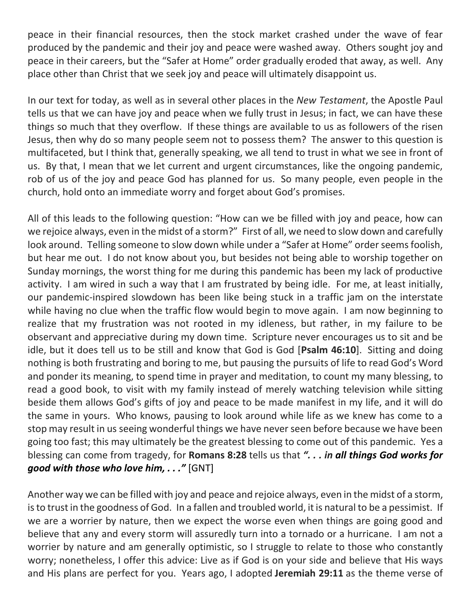peace in their financial resources, then the stock market crashed under the wave of fear produced by the pandemic and their joy and peace were washed away. Others sought joy and peace in their careers, but the "Safer at Home" order gradually eroded that away, as well. Any place other than Christ that we seek joy and peace will ultimately disappoint us.

In our text for today, as well as in several other places in the *New Testament*, the Apostle Paul tells us that we can have joy and peace when we fully trust in Jesus; in fact, we can have these things so much that they overflow. If these things are available to us as followers of the risen Jesus, then why do so many people seem not to possess them? The answer to this question is multifaceted, but I think that, generally speaking, we all tend to trust in what we see in front of us. By that, I mean that we let current and urgent circumstances, like the ongoing pandemic, rob of us of the joy and peace God has planned for us. So many people, even people in the church, hold onto an immediate worry and forget about God's promises.

All of this leads to the following question: "How can we be filled with joy and peace, how can we rejoice always, even in the midst of a storm?" First of all, we need to slow down and carefully look around. Telling someone to slow down while under a "Safer at Home" order seems foolish, but hear me out. I do not know about you, but besides not being able to worship together on Sunday mornings, the worst thing for me during this pandemic has been my lack of productive activity. I am wired in such a way that I am frustrated by being idle. For me, at least initially, our pandemic-inspired slowdown has been like being stuck in a traffic jam on the interstate while having no clue when the traffic flow would begin to move again. I am now beginning to realize that my frustration was not rooted in my idleness, but rather, in my failure to be observant and appreciative during my down time. Scripture never encourages us to sit and be idle, but it does tell us to be still and know that God is God [**Psalm 46:10**]. Sitting and doing nothing is both frustrating and boring to me, but pausing the pursuits of life to read God's Word and ponder its meaning, to spend time in prayer and meditation, to count my many blessing, to read a good book, to visit with my family instead of merely watching television while sitting beside them allows God's gifts of joy and peace to be made manifest in my life, and it will do the same in yours. Who knows, pausing to look around while life as we knew has come to a stop may result in us seeing wonderful things we have never seen before because we have been going too fast; this may ultimately be the greatest blessing to come out of this pandemic. Yes a blessing can come from tragedy, for **Romans 8:28** tells us that *". . . in all things God works for good with those who love him, . . ."* [GNT]

Another way we can be filled with joy and peace and rejoice always, even in the midst of a storm, is to trust in the goodness of God. In a fallen and troubled world, it is natural to be a pessimist. If we are a worrier by nature, then we expect the worse even when things are going good and believe that any and every storm will assuredly turn into a tornado or a hurricane. I am not a worrier by nature and am generally optimistic, so I struggle to relate to those who constantly worry; nonetheless, I offer this advice: Live as if God is on your side and believe that His ways and His plans are perfect for you. Years ago, I adopted **Jeremiah 29:11** as the theme verse of